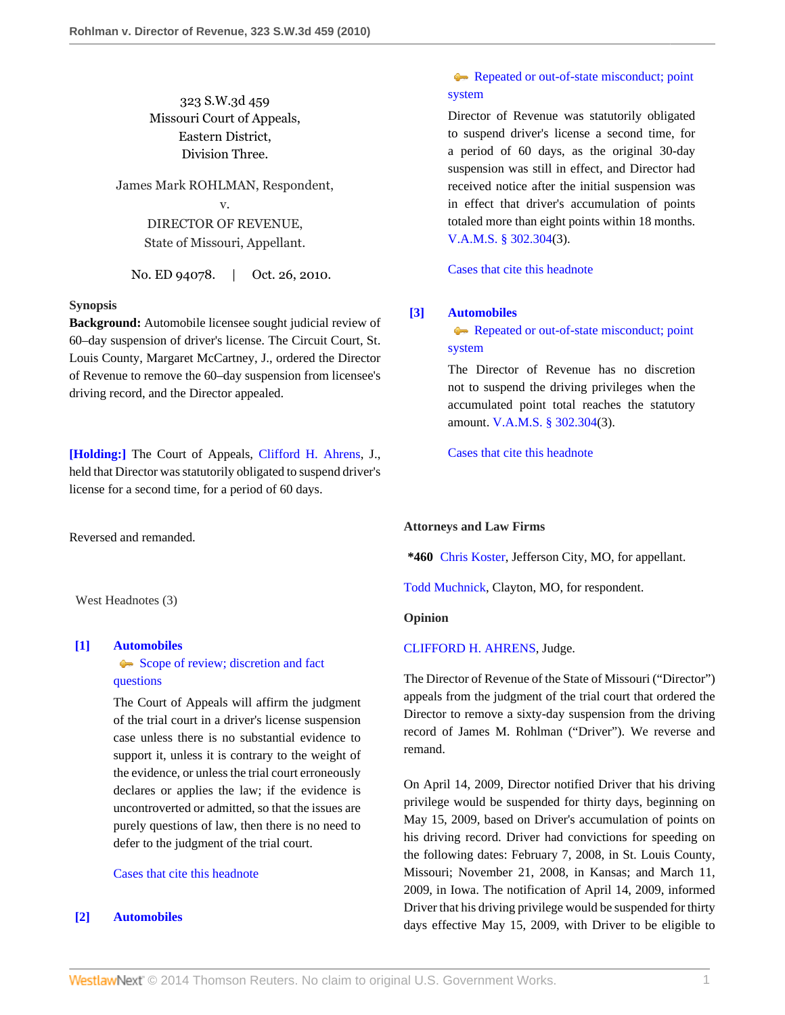323 S.W.3d 459 Missouri Court of Appeals, Eastern District, Division Three.

James Mark ROHLMAN, Respondent, v. DIRECTOR OF REVENUE,

State of Missouri, Appellant.

No. ED 94078. | Oct. 26, 2010.

#### **Synopsis**

**Background:** Automobile licensee sought judicial review of 60–day suspension of driver's license. The Circuit Court, St. Louis County, Margaret McCartney, J., ordered the Director of Revenue to remove the 60–day suspension from licensee's driving record, and the Director appealed.

**[\[Holding:\]](#page-0-0)** The Court of Appeals, [Clifford H. Ahrens](http://www.westlaw.com/Link/Document/FullText?findType=h&pubNum=176284&cite=0236564601&originatingDoc=I416c2fe0e11b11dfb5fdfcf739be147c&refType=RQ&originationContext=document&vr=3.0&rs=cblt1.0&transitionType=DocumentItem&contextData=(sc.Search)), J., held that Director was statutorily obligated to suspend driver's license for a second time, for a period of 60 days.

Reversed and remanded.

West Headnotes (3)

## <span id="page-0-1"></span>**[\[1\]](#page-1-0) [Automobiles](http://www.westlaw.com/Browse/Home/KeyNumber/48A/View.html?docGuid=I416c2fe0e11b11dfb5fdfcf739be147c&originationContext=document&vr=3.0&rs=cblt1.0&transitionType=DocumentItem&contextData=(sc.Search))**

[Scope of review; discretion and fact](http://www.westlaw.com/Browse/Home/KeyNumber/48Ak144.2(3)/View.html?docGuid=I416c2fe0e11b11dfb5fdfcf739be147c&originationContext=document&vr=3.0&rs=cblt1.0&transitionType=DocumentItem&contextData=(sc.Search)) [questions](http://www.westlaw.com/Browse/Home/KeyNumber/48Ak144.2(3)/View.html?docGuid=I416c2fe0e11b11dfb5fdfcf739be147c&originationContext=document&vr=3.0&rs=cblt1.0&transitionType=DocumentItem&contextData=(sc.Search))

The Court of Appeals will affirm the judgment of the trial court in a driver's license suspension case unless there is no substantial evidence to support it, unless it is contrary to the weight of the evidence, or unless the trial court erroneously declares or applies the law; if the evidence is uncontroverted or admitted, so that the issues are purely questions of law, then there is no need to defer to the judgment of the trial court.

# [Cases that cite this headnote](http://www.westlaw.com/Link/RelatedInformation/DocHeadnoteLink?docGuid=I416c2fe0e11b11dfb5fdfcf739be147c&headnoteId=202347293500120110125151616&originationContext=document&vr=3.0&rs=cblt1.0&transitionType=CitingReferences&contextData=(sc.Search))

# <span id="page-0-0"></span>**[\[2\]](#page-1-1) [Automobiles](http://www.westlaw.com/Browse/Home/KeyNumber/48A/View.html?docGuid=I416c2fe0e11b11dfb5fdfcf739be147c&originationContext=document&vr=3.0&rs=cblt1.0&transitionType=DocumentItem&contextData=(sc.Search))**

# [Repeated or out-of-state misconduct; point](http://www.westlaw.com/Browse/Home/KeyNumber/48Ak144.1(3)/View.html?docGuid=I416c2fe0e11b11dfb5fdfcf739be147c&originationContext=document&vr=3.0&rs=cblt1.0&transitionType=DocumentItem&contextData=(sc.Search)) [system](http://www.westlaw.com/Browse/Home/KeyNumber/48Ak144.1(3)/View.html?docGuid=I416c2fe0e11b11dfb5fdfcf739be147c&originationContext=document&vr=3.0&rs=cblt1.0&transitionType=DocumentItem&contextData=(sc.Search))

Director of Revenue was statutorily obligated to suspend driver's license a second time, for a period of 60 days, as the original 30-day suspension was still in effect, and Director had received notice after the initial suspension was in effect that driver's accumulation of points totaled more than eight points within 18 months. [V.A.M.S. § 302.304\(](http://www.westlaw.com/Link/Document/FullText?findType=L&pubNum=1000229&cite=MOST302.304&originatingDoc=I416c2fe0e11b11dfb5fdfcf739be147c&refType=LQ&originationContext=document&vr=3.0&rs=cblt1.0&transitionType=DocumentItem&contextData=(sc.Search))3).

[Cases that cite this headnote](http://www.westlaw.com/Link/RelatedInformation/DocHeadnoteLink?docGuid=I416c2fe0e11b11dfb5fdfcf739be147c&headnoteId=202347293500220110125151616&originationContext=document&vr=3.0&rs=cblt1.0&transitionType=CitingReferences&contextData=(sc.Search))

## <span id="page-0-2"></span>**[\[3\]](#page-1-2) [Automobiles](http://www.westlaw.com/Browse/Home/KeyNumber/48A/View.html?docGuid=I416c2fe0e11b11dfb5fdfcf739be147c&originationContext=document&vr=3.0&rs=cblt1.0&transitionType=DocumentItem&contextData=(sc.Search))**

[Repeated or out-of-state misconduct; point](http://www.westlaw.com/Browse/Home/KeyNumber/48Ak144.1(3)/View.html?docGuid=I416c2fe0e11b11dfb5fdfcf739be147c&originationContext=document&vr=3.0&rs=cblt1.0&transitionType=DocumentItem&contextData=(sc.Search)) [system](http://www.westlaw.com/Browse/Home/KeyNumber/48Ak144.1(3)/View.html?docGuid=I416c2fe0e11b11dfb5fdfcf739be147c&originationContext=document&vr=3.0&rs=cblt1.0&transitionType=DocumentItem&contextData=(sc.Search))

The Director of Revenue has no discretion not to suspend the driving privileges when the accumulated point total reaches the statutory amount. [V.A.M.S. § 302.304\(](http://www.westlaw.com/Link/Document/FullText?findType=L&pubNum=1000229&cite=MOST302.304&originatingDoc=I416c2fe0e11b11dfb5fdfcf739be147c&refType=LQ&originationContext=document&vr=3.0&rs=cblt1.0&transitionType=DocumentItem&contextData=(sc.Search))3).

[Cases that cite this headnote](http://www.westlaw.com/Link/RelatedInformation/DocHeadnoteLink?docGuid=I416c2fe0e11b11dfb5fdfcf739be147c&headnoteId=202347293500320110125151616&originationContext=document&vr=3.0&rs=cblt1.0&transitionType=CitingReferences&contextData=(sc.Search))

#### **Attorneys and Law Firms**

**\*460** [Chris Koster](http://www.westlaw.com/Link/Document/FullText?findType=h&pubNum=176284&cite=0369913201&originatingDoc=I416c2fe0e11b11dfb5fdfcf739be147c&refType=RQ&originationContext=document&vr=3.0&rs=cblt1.0&transitionType=DocumentItem&contextData=(sc.Search)), Jefferson City, MO, for appellant.

[Todd Muchnick](http://www.westlaw.com/Link/Document/FullText?findType=h&pubNum=176284&cite=0102613501&originatingDoc=I416c2fe0e11b11dfb5fdfcf739be147c&refType=RQ&originationContext=document&vr=3.0&rs=cblt1.0&transitionType=DocumentItem&contextData=(sc.Search)), Clayton, MO, for respondent.

#### **Opinion**

### [CLIFFORD H. AHRENS](http://www.westlaw.com/Link/Document/FullText?findType=h&pubNum=176284&cite=0236564601&originatingDoc=I416c2fe0e11b11dfb5fdfcf739be147c&refType=RQ&originationContext=document&vr=3.0&rs=cblt1.0&transitionType=DocumentItem&contextData=(sc.Search)), Judge.

The Director of Revenue of the State of Missouri ("Director") appeals from the judgment of the trial court that ordered the Director to remove a sixty-day suspension from the driving record of James M. Rohlman ("Driver"). We reverse and remand.

On April 14, 2009, Director notified Driver that his driving privilege would be suspended for thirty days, beginning on May 15, 2009, based on Driver's accumulation of points on his driving record. Driver had convictions for speeding on the following dates: February 7, 2008, in St. Louis County, Missouri; November 21, 2008, in Kansas; and March 11, 2009, in Iowa. The notification of April 14, 2009, informed Driver that his driving privilege would be suspended for thirty days effective May 15, 2009, with Driver to be eligible to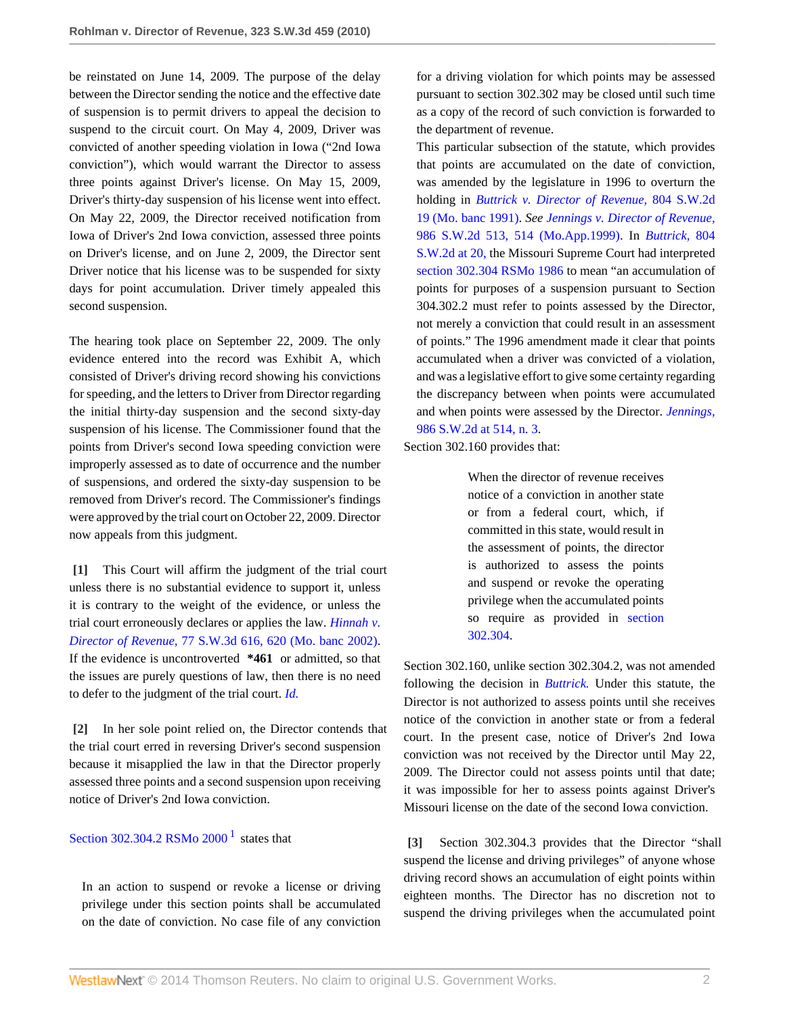be reinstated on June 14, 2009. The purpose of the delay between the Director sending the notice and the effective date of suspension is to permit drivers to appeal the decision to suspend to the circuit court. On May 4, 2009, Driver was convicted of another speeding violation in Iowa ("2nd Iowa conviction"), which would warrant the Director to assess three points against Driver's license. On May 15, 2009, Driver's thirty-day suspension of his license went into effect. On May 22, 2009, the Director received notification from Iowa of Driver's 2nd Iowa conviction, assessed three points on Driver's license, and on June 2, 2009, the Director sent Driver notice that his license was to be suspended for sixty days for point accumulation. Driver timely appealed this second suspension.

The hearing took place on September 22, 2009. The only evidence entered into the record was Exhibit A, which consisted of Driver's driving record showing his convictions for speeding, and the letters to Driver from Director regarding the initial thirty-day suspension and the second sixty-day suspension of his license. The Commissioner found that the points from Driver's second Iowa speeding conviction were improperly assessed as to date of occurrence and the number of suspensions, and ordered the sixty-day suspension to be removed from Driver's record. The Commissioner's findings were approved by the trial court on October 22, 2009. Director now appeals from this judgment.

<span id="page-1-0"></span>**[\[1\]](#page-0-1)** This Court will affirm the judgment of the trial court unless there is no substantial evidence to support it, unless it is contrary to the weight of the evidence, or unless the trial court erroneously declares or applies the law. *[Hinnah v.](http://www.westlaw.com/Link/Document/FullText?findType=Y&serNum=2002392519&pubNum=4644&fi=co_pp_sp_4644_620&originationContext=document&vr=3.0&rs=cblt1.0&transitionType=DocumentItem&contextData=(sc.Search)#co_pp_sp_4644_620) Director of Revenue,* [77 S.W.3d 616, 620 \(Mo. banc 2002\)](http://www.westlaw.com/Link/Document/FullText?findType=Y&serNum=2002392519&pubNum=4644&fi=co_pp_sp_4644_620&originationContext=document&vr=3.0&rs=cblt1.0&transitionType=DocumentItem&contextData=(sc.Search)#co_pp_sp_4644_620). If the evidence is uncontroverted **\*461** or admitted, so that the issues are purely questions of law, then there is no need to defer to the judgment of the trial court. *[Id.](http://www.westlaw.com/Link/Document/FullText?findType=Y&serNum=2002392519&originationContext=document&vr=3.0&rs=cblt1.0&transitionType=DocumentItem&contextData=(sc.Search))*

<span id="page-1-1"></span>**[\[2\]](#page-0-0)** In her sole point relied on, the Director contends that the trial court erred in reversing Driver's second suspension because it misapplied the law in that the Director properly assessed three points and a second suspension upon receiving notice of Driver's 2nd Iowa conviction.

# Section 302.304.2 RSMo  $2000<sup>1</sup>$  $2000<sup>1</sup>$  $2000<sup>1</sup>$  states that

<span id="page-1-3"></span>In an action to suspend or revoke a license or driving privilege under this section points shall be accumulated on the date of conviction. No case file of any conviction for a driving violation for which points may be assessed pursuant to section 302.302 may be closed until such time as a copy of the record of such conviction is forwarded to the department of revenue.

This particular subsection of the statute, which provides that points are accumulated on the date of conviction, was amended by the legislature in 1996 to overturn the holding in *[Buttrick v. Director of Revenue,](http://www.westlaw.com/Link/Document/FullText?findType=Y&serNum=1991048959&pubNum=713&originationContext=document&vr=3.0&rs=cblt1.0&transitionType=DocumentItem&contextData=(sc.Search))* 804 S.W.2d [19 \(Mo. banc 1991\).](http://www.westlaw.com/Link/Document/FullText?findType=Y&serNum=1991048959&pubNum=713&originationContext=document&vr=3.0&rs=cblt1.0&transitionType=DocumentItem&contextData=(sc.Search)) *See [Jennings v. Director of Revenue,](http://www.westlaw.com/Link/Document/FullText?findType=Y&serNum=1999061825&pubNum=713&fi=co_pp_sp_713_514&originationContext=document&vr=3.0&rs=cblt1.0&transitionType=DocumentItem&contextData=(sc.Search)#co_pp_sp_713_514)* [986 S.W.2d 513, 514 \(Mo.App.1999\).](http://www.westlaw.com/Link/Document/FullText?findType=Y&serNum=1999061825&pubNum=713&fi=co_pp_sp_713_514&originationContext=document&vr=3.0&rs=cblt1.0&transitionType=DocumentItem&contextData=(sc.Search)#co_pp_sp_713_514) In *[Buttrick,](http://www.westlaw.com/Link/Document/FullText?findType=Y&serNum=1991048959&pubNum=713&fi=co_pp_sp_713_20&originationContext=document&vr=3.0&rs=cblt1.0&transitionType=DocumentItem&contextData=(sc.Search)#co_pp_sp_713_20)* 804 [S.W.2d at 20,](http://www.westlaw.com/Link/Document/FullText?findType=Y&serNum=1991048959&pubNum=713&fi=co_pp_sp_713_20&originationContext=document&vr=3.0&rs=cblt1.0&transitionType=DocumentItem&contextData=(sc.Search)#co_pp_sp_713_20) the Missouri Supreme Court had interpreted [section 302.304 RSMo 1986](http://www.westlaw.com/Link/Document/FullText?findType=L&pubNum=1000229&cite=MOST302.304&originatingDoc=I416c2fe0e11b11dfb5fdfcf739be147c&refType=LQ&originationContext=document&vr=3.0&rs=cblt1.0&transitionType=DocumentItem&contextData=(sc.Search)) to mean "an accumulation of points for purposes of a suspension pursuant to Section 304.302.2 must refer to points assessed by the Director, not merely a conviction that could result in an assessment of points." The 1996 amendment made it clear that points accumulated when a driver was convicted of a violation, and was a legislative effort to give some certainty regarding the discrepancy between when points were accumulated and when points were assessed by the Director. *[Jennings,](http://www.westlaw.com/Link/Document/FullText?findType=Y&serNum=1999061825&pubNum=713&fi=co_pp_sp_713_514&originationContext=document&vr=3.0&rs=cblt1.0&transitionType=DocumentItem&contextData=(sc.Search)#co_pp_sp_713_514)* [986 S.W.2d at 514, n. 3.](http://www.westlaw.com/Link/Document/FullText?findType=Y&serNum=1999061825&pubNum=713&fi=co_pp_sp_713_514&originationContext=document&vr=3.0&rs=cblt1.0&transitionType=DocumentItem&contextData=(sc.Search)#co_pp_sp_713_514)

Section 302.160 provides that:

When the director of revenue receives notice of a conviction in another state or from a federal court, which, if committed in this state, would result in the assessment of points, the director is authorized to assess the points and suspend or revoke the operating privilege when the accumulated points so require as provided in [section](http://www.westlaw.com/Link/Document/FullText?findType=L&pubNum=1000229&cite=MOST302.304&originatingDoc=I416c2fe0e11b11dfb5fdfcf739be147c&refType=LQ&originationContext=document&vr=3.0&rs=cblt1.0&transitionType=DocumentItem&contextData=(sc.Search)) [302.304.](http://www.westlaw.com/Link/Document/FullText?findType=L&pubNum=1000229&cite=MOST302.304&originatingDoc=I416c2fe0e11b11dfb5fdfcf739be147c&refType=LQ&originationContext=document&vr=3.0&rs=cblt1.0&transitionType=DocumentItem&contextData=(sc.Search))

Section 302.160, unlike section 302.304.2, was not amended following the decision in *[Buttrick.](http://www.westlaw.com/Link/Document/FullText?findType=Y&serNum=1991048959&originationContext=document&vr=3.0&rs=cblt1.0&transitionType=DocumentItem&contextData=(sc.Search))* Under this statute, the Director is not authorized to assess points until she receives notice of the conviction in another state or from a federal court. In the present case, notice of Driver's 2nd Iowa conviction was not received by the Director until May 22, 2009. The Director could not assess points until that date; it was impossible for her to assess points against Driver's Missouri license on the date of the second Iowa conviction.

<span id="page-1-2"></span>**[\[3\]](#page-0-2)** Section 302.304.3 provides that the Director "shall suspend the license and driving privileges" of anyone whose driving record shows an accumulation of eight points within eighteen months. The Director has no discretion not to suspend the driving privileges when the accumulated point